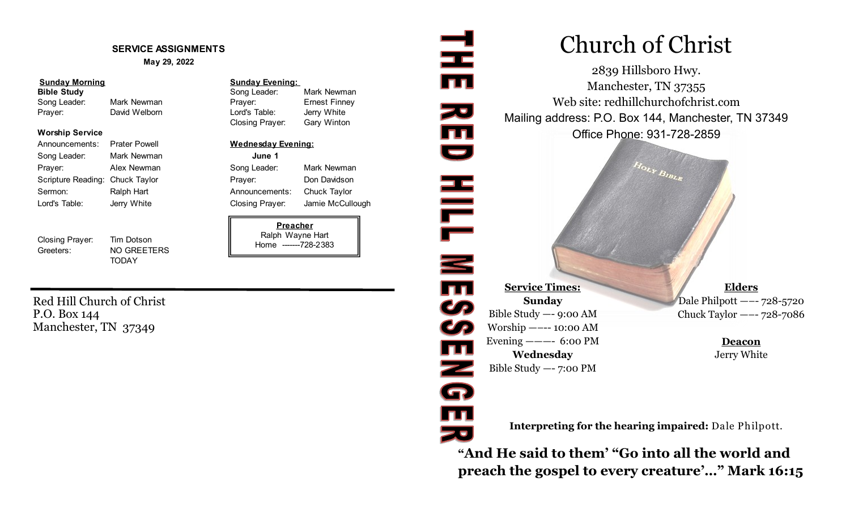#### **SERVICE ASSIGNMENTS**

#### **May 29, 2022**

| <b>Sunday Morning</b><br>Bible Study |               | <b>Sunday Evening:</b> |               |
|--------------------------------------|---------------|------------------------|---------------|
|                                      |               | Song Leader:           | Mark Newman   |
| Song Leader:                         | Mark Newman   | Praver:                | Ernest Finney |
| Prayer:                              | David Welborn | Lord's Table:          | Jerry White   |

#### **Worship Service**

| Announcements:                  | <b>Prater Powell</b> |                 | <b>Wednesday Evening:</b> |  |
|---------------------------------|----------------------|-----------------|---------------------------|--|
| Song Leader:                    | Mark Newman          | June 1          |                           |  |
| Prayer:                         | Alex Newman          | Song Leader:    | Мε                        |  |
| Scripture Reading: Chuck Taylor |                      | Prayer:         | Do                        |  |
| Sermon:                         | Ralph Hart           | Announcements:  | Сh                        |  |
| Lord's Table:                   | Jerry White          | Closing Prayer: | Jar                       |  |

Closing Prayer: Tim Dotson Greeters: NO GREETERS

TODAY

| <b>Sunday Evening:</b> |                     |  |  |  |  |
|------------------------|---------------------|--|--|--|--|
| Song Leader:           | Mark Newma          |  |  |  |  |
| Prayer:                | <b>Ernest Finne</b> |  |  |  |  |
| Lord's Table:          | Jerry White         |  |  |  |  |
| Closing Prayer:        | Gary Winton         |  |  |  |  |
|                        |                     |  |  |  |  |
| Wednesday Evening:     |                     |  |  |  |  |
| June 1                 |                     |  |  |  |  |

Song Leader: Mark Newman Prayer: Don Davidson Announcements: Chuck Taylor

> **Preacher** Ralph Wayne Hart Home -------728-2383

로

zu<br>mu

Iт

**Z**<br>G

**TH** 

# Closing Prayer: Jamie McCullough

**HILLESS Service Times: Sunday** Bible Study —- 9:00 AM Worship —–-- 10:00 AM Evening ———- 6:00 PM **Wednesday** Bible Study —- 7:00 PM

**Elders**

**Deacon** Jerry White

**Interpreting for the hearing impaired:** Dale Philpott.

Church of Christ

2839 Hillsboro Hwy. Manchester, TN 37355 Web site: redhillchurchofchrist.com Mailing address: P.O. Box 144, Manchester, TN 37349 Office Phone: 931-728-2859

Hour Bistis

**"And He said to them' "Go into all the world and preach the gospel to every creature'…" Mark 16:15**

Red Hill Church of Christ P.O. Box 144 Manchester, TN 37349

Dale Philpott —–- 728-5720 Chuck Taylor —–- 728-7086